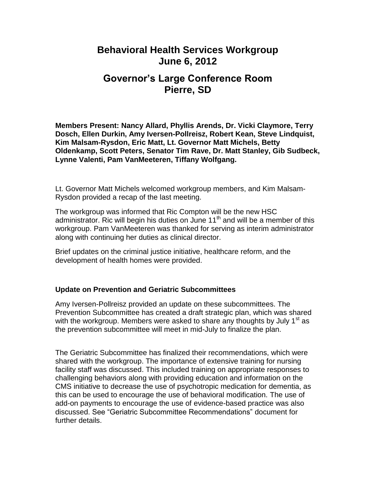## **Behavioral Health Services Workgroup June 6, 2012**

# **Governor's Large Conference Room Pierre, SD**

**Members Present: Nancy Allard, Phyllis Arends, Dr. Vicki Claymore, Terry Dosch, Ellen Durkin, Amy Iversen-Pollreisz, Robert Kean, Steve Lindquist, Kim Malsam-Rysdon, Eric Matt, Lt. Governor Matt Michels, Betty Oldenkamp, Scott Peters, Senator Tim Rave, Dr. Matt Stanley, Gib Sudbeck, Lynne Valenti, Pam VanMeeteren, Tiffany Wolfgang.**

Lt. Governor Matt Michels welcomed workgroup members, and Kim Malsam-Rysdon provided a recap of the last meeting.

The workgroup was informed that Ric Compton will be the new HSC administrator. Ric will begin his duties on June  $11<sup>th</sup>$  and will be a member of this workgroup. Pam VanMeeteren was thanked for serving as interim administrator along with continuing her duties as clinical director.

Brief updates on the criminal justice initiative, healthcare reform, and the development of health homes were provided.

#### **Update on Prevention and Geriatric Subcommittees**

Amy Iversen-Pollreisz provided an update on these subcommittees. The Prevention Subcommittee has created a draft strategic plan, which was shared with the workgroup. Members were asked to share any thoughts by July  $1<sup>st</sup>$  as the prevention subcommittee will meet in mid-July to finalize the plan.

The Geriatric Subcommittee has finalized their recommendations, which were shared with the workgroup. The importance of extensive training for nursing facility staff was discussed. This included training on appropriate responses to challenging behaviors along with providing education and information on the CMS initiative to decrease the use of psychotropic medication for dementia, as this can be used to encourage the use of behavioral modification. The use of add-on payments to encourage the use of evidence-based practice was also discussed. See "Geriatric Subcommittee Recommendations" document for further details.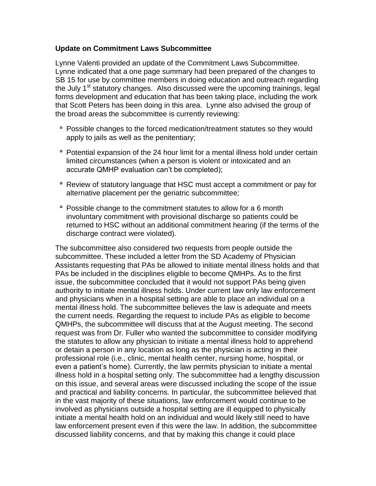#### **Update on Commitment Laws Subcommittee**

Lynne Valenti provided an update of the Commitment Laws Subcommittee. Lynne indicated that a one page summary had been prepared of the changes to SB 15 for use by committee members in doing education and outreach regarding the July 1<sup>st</sup> statutory changes. Also discussed were the upcoming trainings, legal forms development and education that has been taking place, including the work that Scott Peters has been doing in this area. Lynne also advised the group of the broad areas the subcommittee is currently reviewing:

- Possible changes to the forced medication/treatment statutes so they would apply to jails as well as the penitentiary;
- Potential expansion of the 24 hour limit for a mental illness hold under certain limited circumstances (when a person is violent or intoxicated and an accurate QMHP evaluation can't be completed);
- Review of statutory language that HSC must accept a commitment or pay for alternative placement per the geriatric subcommittee;
- Possible change to the commitment statutes to allow for a 6 month involuntary commitment with provisional discharge so patients could be returned to HSC without an additional commitment hearing (if the terms of the discharge contract were violated).

The subcommittee also considered two requests from people outside the subcommittee. These included a letter from the SD Academy of Physician Assistants requesting that PAs be allowed to initiate mental illness holds and that PAs be included in the disciplines eligible to become QMHPs. As to the first issue, the subcommittee concluded that it would not support PAs being given authority to initiate mental illness holds. Under current law only law enforcement and physicians when in a hospital setting are able to place an individual on a mental illness hold. The subcommittee believes the law is adequate and meets the current needs. Regarding the request to include PAs as eligible to become QMHPs, the subcommittee will discuss that at the August meeting. The second request was from Dr. Fuller who wanted the subcommittee to consider modifying the statutes to allow any physician to initiate a mental illness hold to apprehend or detain a person in any location as long as the physician is acting in their professional role (i.e., clinic, mental health center, nursing home, hospital, or even a patient's home). Currently, the law permits physician to initiate a mental illness hold in a hospital setting only. The subcommittee had a lengthy discussion on this issue, and several areas were discussed including the scope of the issue and practical and liability concerns. In particular, the subcommittee believed that in the vast majority of these situations, law enforcement would continue to be involved as physicians outside a hospital setting are ill equipped to physically initiate a mental health hold on an individual and would likely still need to have law enforcement present even if this were the law. In addition, the subcommittee discussed liability concerns, and that by making this change it could place